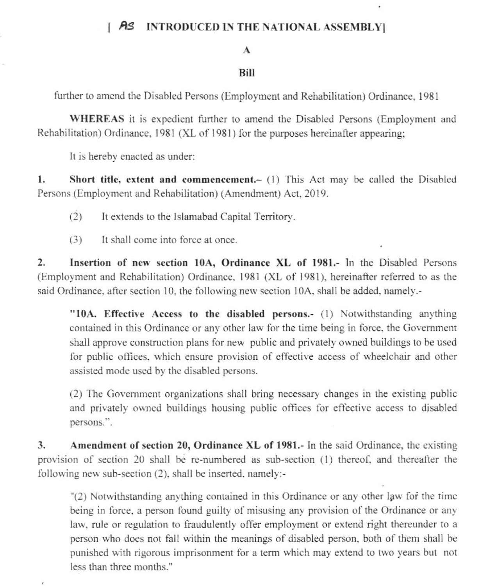## **INTRODUCED IN THE NATIONAL ASSEMBLY** I AS

 $\ddot{\phantom{0}}$ 

## A

## Bill

further to amend the Disabled Persons (Employment and Rehabilitation) Ordinance, 1981

WHEREAS it is expedient further to amend the Disabled Persons (Employment and Rehabilitation) Ordinance, 1981 (XL of 1981) for the purposes hereinafter appearing;

It is hereby enacted as under:

1. Short title, extent and commencement.- (1) This Act may be called the Disabled Persons (Employment and Rehabilitation) (Amendment) Act, 2019.

It extends to the Islamabad Capital Territory.  $(2)$ 

 $(3)$ It shall come into force at once.

Insertion of new section 10A, Ordinance XL of 1981.- In the Disabled Persons  $2.$ (Employment and Rehabilitation) Ordinance, 1981 (XL of 1981), hereinafter referred to as the said Ordinance, after section 10, the following new section 10A, shall be added, namely.-

"10A. Effective Access to the disabled persons.- (1) Notwithstanding anything contained in this Ordinance or any other law for the time being in force, the Government shall approve construction plans for new public and privately owned buildings to be used for public offices, which ensure provision of effective access of wheelchair and other assisted mode used by the disabled persons.

(2) The Government organizations shall bring necessary changes in the existing public and privately owned buildings housing public offices for effective access to disabled persons.".

 $3.$ Amendment of section 20, Ordinance XL of 1981.- In the said Ordinance, the existing provision of section 20 shall be re-numbered as sub-section (1) thereof, and thereafter the following new sub-section (2), shall be inserted, namely:-

"(2) Notwithstanding anything contained in this Ordinance or any other law for the time being in force, a person found guilty of misusing any provision of the Ordinance or any law, rule or regulation to fraudulently offer employment or extend right thereunder to a person who does not fall within the meanings of disabled person, both of them shall be punished with rigorous imprisonment for a term which may extend to two years but not less than three months."